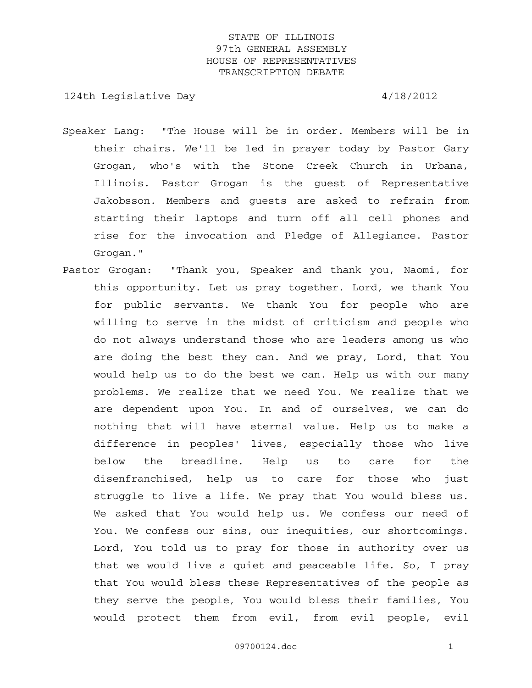124th Legislative Day 4/18/2012

- Speaker Lang: "The House will be in order. Members will be in their chairs. We'll be led in prayer today by Pastor Gary Grogan, who's with the Stone Creek Church in Urbana, Illinois. Pastor Grogan is the guest of Representative Jakobsson. Members and guests are asked to refrain from starting their laptops and turn off all cell phones and rise for the invocation and Pledge of Allegiance. Pastor Grogan."
- Pastor Grogan: "Thank you, Speaker and thank you, Naomi, for this opportunity. Let us pray together. Lord, we thank You for public servants. We thank You for people who are willing to serve in the midst of criticism and people who do not always understand those who are leaders among us who are doing the best they can. And we pray, Lord, that You would help us to do the best we can. Help us with our many problems. We realize that we need You. We realize that we are dependent upon You. In and of ourselves, we can do nothing that will have eternal value. Help us to make a difference in peoples' lives, especially those who live below the breadline. Help us to care for the disenfranchised, help us to care for those who just struggle to live a life. We pray that You would bless us. We asked that You would help us. We confess our need of You. We confess our sins, our inequities, our shortcomings. Lord, You told us to pray for those in authority over us that we would live a quiet and peaceable life. So, I pray that You would bless these Representatives of the people as they serve the people, You would bless their families, You would protect them from evil, from evil people, evil

09700124.doc 1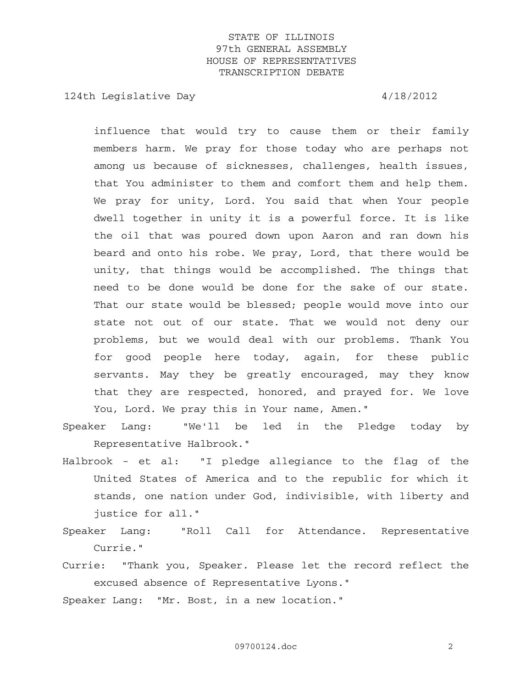124th Legislative Day 4/18/2012

influence that would try to cause them or their family members harm. We pray for those today who are perhaps not among us because of sicknesses, challenges, health issues, that You administer to them and comfort them and help them. We pray for unity, Lord. You said that when Your people dwell together in unity it is a powerful force. It is like the oil that was poured down upon Aaron and ran down his beard and onto his robe. We pray, Lord, that there would be unity, that things would be accomplished. The things that need to be done would be done for the sake of our state. That our state would be blessed; people would move into our state not out of our state. That we would not deny our problems, but we would deal with our problems. Thank You for good people here today, again, for these public servants. May they be greatly encouraged, may they know that they are respected, honored, and prayed for. We love You, Lord. We pray this in Your name, Amen."

Speaker Lang: "We'll be led in the Pledge today by Representative Halbrook."

- Halbrook et al: "I pledge allegiance to the flag of the United States of America and to the republic for which it stands, one nation under God, indivisible, with liberty and justice for all."
- Speaker Lang: "Roll Call for Attendance. Representative Currie."
- Currie: "Thank you, Speaker. Please let the record reflect the excused absence of Representative Lyons."

Speaker Lang: "Mr. Bost, in a new location."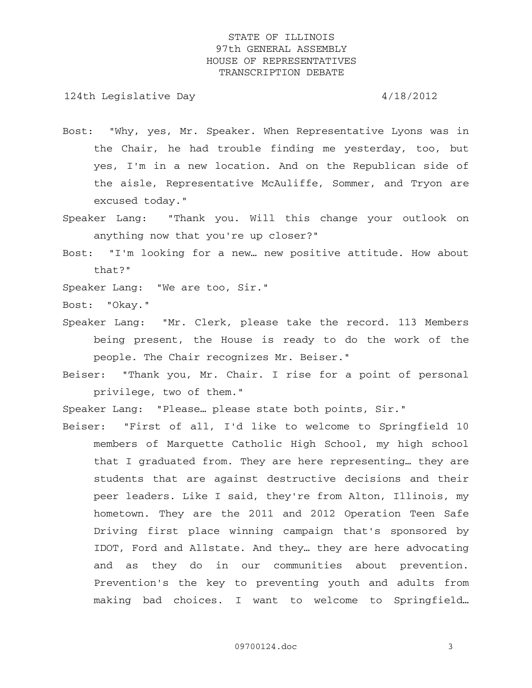124th Legislative Day  $4/18/2012$ 

- Bost: "Why, yes, Mr. Speaker. When Representative Lyons was in the Chair, he had trouble finding me yesterday, too, but yes, I'm in a new location. And on the Republican side of the aisle, Representative McAuliffe, Sommer, and Tryon are excused today."
- Speaker Lang: "Thank you. Will this change your outlook on anything now that you're up closer?"
- Bost: "I'm looking for a new… new positive attitude. How about that?"
- Speaker Lang: "We are too, Sir."
- Bost: "Okay."
- Speaker Lang: "Mr. Clerk, please take the record. 113 Members being present, the House is ready to do the work of the people. The Chair recognizes Mr. Beiser."
- Beiser: "Thank you, Mr. Chair. I rise for a point of personal privilege, two of them."

Speaker Lang: "Please… please state both points, Sir."

Beiser: "First of all, I'd like to welcome to Springfield 10 members of Marquette Catholic High School, my high school that I graduated from. They are here representing… they are students that are against destructive decisions and their peer leaders. Like I said, they're from Alton, Illinois, my hometown. They are the 2011 and 2012 Operation Teen Safe Driving first place winning campaign that's sponsored by IDOT, Ford and Allstate. And they… they are here advocating and as they do in our communities about prevention. Prevention's the key to preventing youth and adults from making bad choices. I want to welcome to Springfield…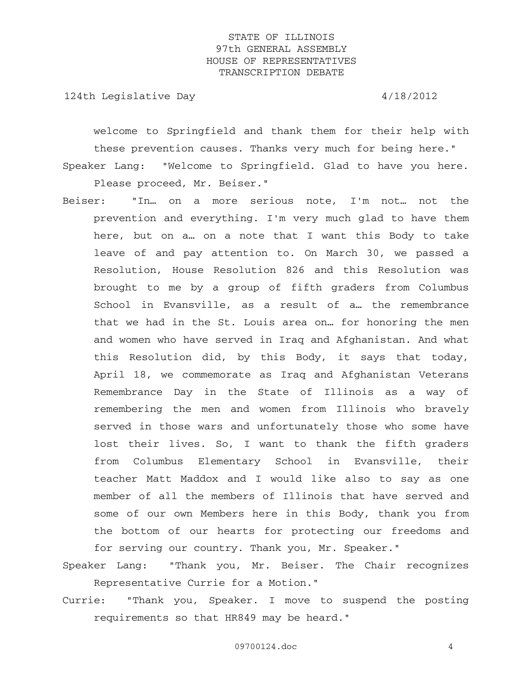124th Legislative Day  $4/18/2012$ 

welcome to Springfield and thank them for their help with these prevention causes. Thanks very much for being here." Speaker Lang: "Welcome to Springfield. Glad to have you here.

Please proceed, Mr. Beiser."

Beiser: "In… on a more serious note, I'm not… not the prevention and everything. I'm very much glad to have them here, but on a… on a note that I want this Body to take leave of and pay attention to. On March 30, we passed a Resolution, House Resolution 826 and this Resolution was brought to me by a group of fifth graders from Columbus School in Evansville, as a result of a… the remembrance that we had in the St. Louis area on… for honoring the men and women who have served in Iraq and Afghanistan. And what this Resolution did, by this Body, it says that today, April 18, we commemorate as Iraq and Afghanistan Veterans Remembrance Day in the State of Illinois as a way of remembering the men and women from Illinois who bravely served in those wars and unfortunately those who some have lost their lives. So, I want to thank the fifth graders from Columbus Elementary School in Evansville, their teacher Matt Maddox and I would like also to say as one member of all the members of Illinois that have served and some of our own Members here in this Body, thank you from the bottom of our hearts for protecting our freedoms and for serving our country. Thank you, Mr. Speaker."

Speaker Lang: "Thank you, Mr. Beiser. The Chair recognizes Representative Currie for a Motion."

Currie: "Thank you, Speaker. I move to suspend the posting requirements so that HR849 may be heard."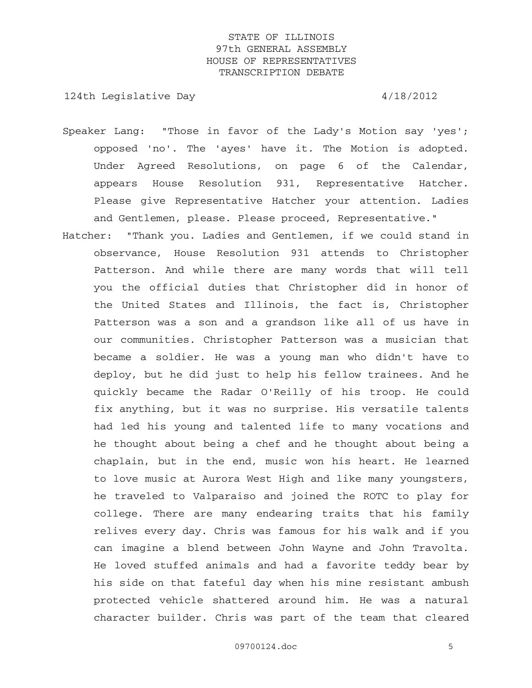124th Legislative Day 4/18/2012

- Speaker Lang: "Those in favor of the Lady's Motion say 'yes'; opposed 'no'. The 'ayes' have it. The Motion is adopted. Under Agreed Resolutions, on page 6 of the Calendar, appears House Resolution 931, Representative Hatcher. Please give Representative Hatcher your attention. Ladies and Gentlemen, please. Please proceed, Representative."
- Hatcher: "Thank you. Ladies and Gentlemen, if we could stand in observance, House Resolution 931 attends to Christopher Patterson. And while there are many words that will tell you the official duties that Christopher did in honor of the United States and Illinois, the fact is, Christopher Patterson was a son and a grandson like all of us have in our communities. Christopher Patterson was a musician that became a soldier. He was a young man who didn't have to deploy, but he did just to help his fellow trainees. And he quickly became the Radar O'Reilly of his troop. He could fix anything, but it was no surprise. His versatile talents had led his young and talented life to many vocations and he thought about being a chef and he thought about being a chaplain, but in the end, music won his heart. He learned to love music at Aurora West High and like many youngsters, he traveled to Valparaiso and joined the ROTC to play for college. There are many endearing traits that his family relives every day. Chris was famous for his walk and if you can imagine a blend between John Wayne and John Travolta. He loved stuffed animals and had a favorite teddy bear by his side on that fateful day when his mine resistant ambush protected vehicle shattered around him. He was a natural character builder. Chris was part of the team that cleared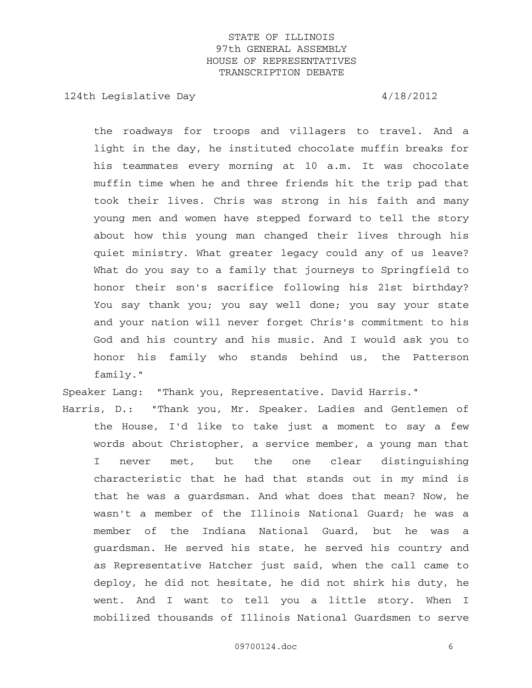124th Legislative Day  $4/18/2012$ 

the roadways for troops and villagers to travel. And a light in the day, he instituted chocolate muffin breaks for his teammates every morning at 10 a.m. It was chocolate muffin time when he and three friends hit the trip pad that took their lives. Chris was strong in his faith and many young men and women have stepped forward to tell the story about how this young man changed their lives through his quiet ministry. What greater legacy could any of us leave? What do you say to a family that journeys to Springfield to honor their son's sacrifice following his 21st birthday? You say thank you; you say well done; you say your state and your nation will never forget Chris's commitment to his God and his country and his music. And I would ask you to honor his family who stands behind us, the Patterson family."

Speaker Lang: "Thank you, Representative. David Harris."

Harris, D.: "Thank you, Mr. Speaker. Ladies and Gentlemen of the House, I'd like to take just a moment to say a few words about Christopher, a service member, a young man that I never met, but the one clear distinguishing characteristic that he had that stands out in my mind is that he was a guardsman. And what does that mean? Now, he wasn't a member of the Illinois National Guard; he was a member of the Indiana National Guard, but he was a guardsman. He served his state, he served his country and as Representative Hatcher just said, when the call came to deploy, he did not hesitate, he did not shirk his duty, he went. And I want to tell you a little story. When I mobilized thousands of Illinois National Guardsmen to serve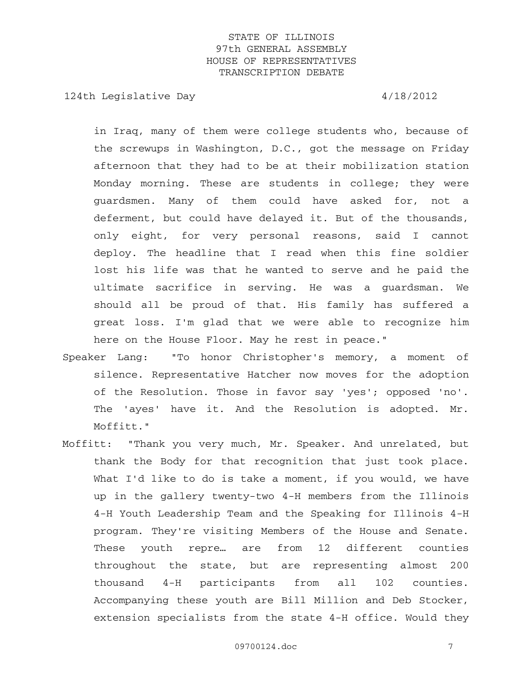124th Legislative Day 4/18/2012

in Iraq, many of them were college students who, because of the screwups in Washington, D.C., got the message on Friday afternoon that they had to be at their mobilization station Monday morning. These are students in college; they were guardsmen. Many of them could have asked for, not a deferment, but could have delayed it. But of the thousands, only eight, for very personal reasons, said I cannot deploy. The headline that I read when this fine soldier lost his life was that he wanted to serve and he paid the ultimate sacrifice in serving. He was a guardsman. We should all be proud of that. His family has suffered a great loss. I'm glad that we were able to recognize him here on the House Floor. May he rest in peace."

- Speaker Lang: "To honor Christopher's memory, a moment of silence. Representative Hatcher now moves for the adoption of the Resolution. Those in favor say 'yes'; opposed 'no'. The 'ayes' have it. And the Resolution is adopted. Mr. Moffitt."
- Moffitt: "Thank you very much, Mr. Speaker. And unrelated, but thank the Body for that recognition that just took place. What I'd like to do is take a moment, if you would, we have up in the gallery twenty-two 4-H members from the Illinois 4-H Youth Leadership Team and the Speaking for Illinois 4-H program. They're visiting Members of the House and Senate. These youth repre… are from 12 different counties throughout the state, but are representing almost 200 thousand 4-H participants from all 102 counties. Accompanying these youth are Bill Million and Deb Stocker, extension specialists from the state 4-H office. Would they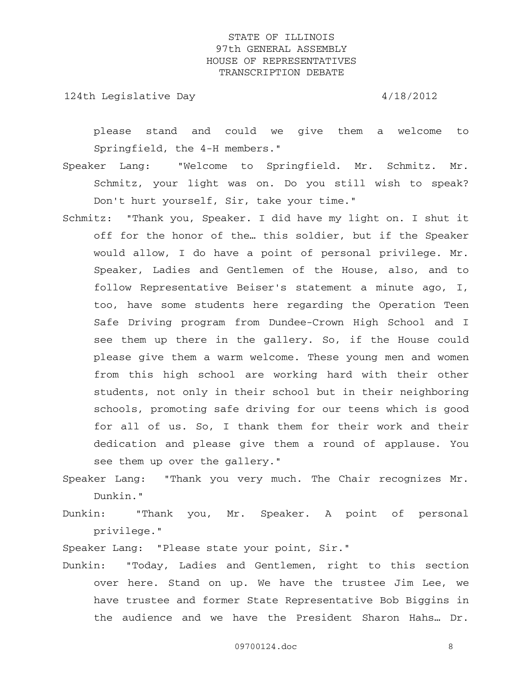124th Legislative Day 4/18/2012

please stand and could we give them a welcome to Springfield, the 4-H members."

- Speaker Lang: "Welcome to Springfield. Mr. Schmitz. Mr. Schmitz, your light was on. Do you still wish to speak? Don't hurt yourself, Sir, take your time."
- Schmitz: "Thank you, Speaker. I did have my light on. I shut it off for the honor of the… this soldier, but if the Speaker would allow, I do have a point of personal privilege. Mr. Speaker, Ladies and Gentlemen of the House, also, and to follow Representative Beiser's statement a minute ago, I, too, have some students here regarding the Operation Teen Safe Driving program from Dundee-Crown High School and I see them up there in the gallery. So, if the House could please give them a warm welcome. These young men and women from this high school are working hard with their other students, not only in their school but in their neighboring schools, promoting safe driving for our teens which is good for all of us. So, I thank them for their work and their dedication and please give them a round of applause. You see them up over the gallery."
- Speaker Lang: "Thank you very much. The Chair recognizes Mr. Dunkin."
- Dunkin: "Thank you, Mr. Speaker. A point of personal privilege."

Speaker Lang: "Please state your point, Sir."

Dunkin: "Today, Ladies and Gentlemen, right to this section over here. Stand on up. We have the trustee Jim Lee, we have trustee and former State Representative Bob Biggins in the audience and we have the President Sharon Hahs… Dr.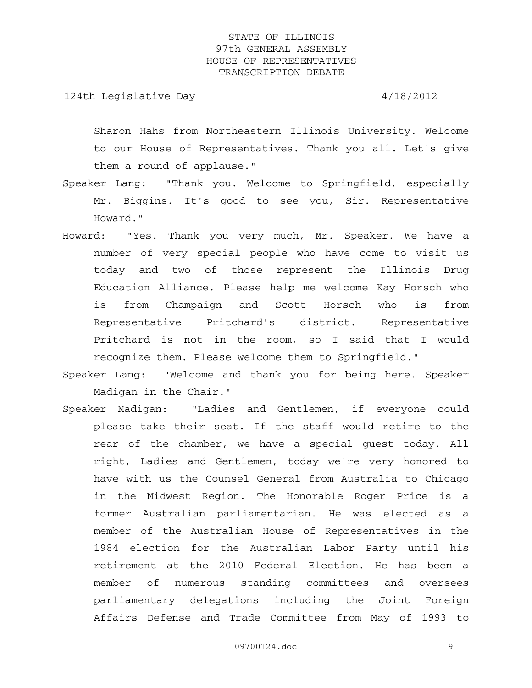124th Legislative Day 4/18/2012

Sharon Hahs from Northeastern Illinois University. Welcome to our House of Representatives. Thank you all. Let's give them a round of applause."

- Speaker Lang: "Thank you. Welcome to Springfield, especially Mr. Biggins. It's good to see you, Sir. Representative Howard."
- Howard: "Yes. Thank you very much, Mr. Speaker. We have a number of very special people who have come to visit us today and two of those represent the Illinois Drug Education Alliance. Please help me welcome Kay Horsch who is from Champaign and Scott Horsch who is from Representative Pritchard's district. Representative Pritchard is not in the room, so I said that I would recognize them. Please welcome them to Springfield."
- Speaker Lang: "Welcome and thank you for being here. Speaker Madigan in the Chair."
- Speaker Madigan: "Ladies and Gentlemen, if everyone could please take their seat. If the staff would retire to the rear of the chamber, we have a special guest today. All right, Ladies and Gentlemen, today we're very honored to have with us the Counsel General from Australia to Chicago in the Midwest Region. The Honorable Roger Price is a former Australian parliamentarian. He was elected as a member of the Australian House of Representatives in the 1984 election for the Australian Labor Party until his retirement at the 2010 Federal Election. He has been a member of numerous standing committees and oversees parliamentary delegations including the Joint Foreign Affairs Defense and Trade Committee from May of 1993 to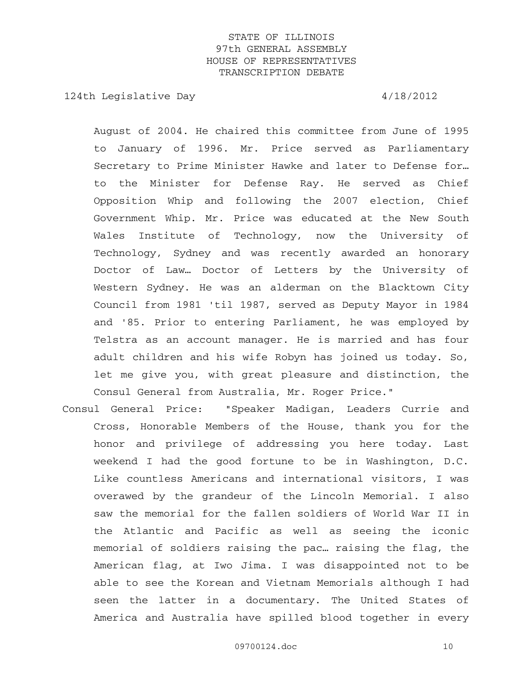124th Legislative Day 4/18/2012

August of 2004. He chaired this committee from June of 1995 to January of 1996. Mr. Price served as Parliamentary Secretary to Prime Minister Hawke and later to Defense for… to the Minister for Defense Ray. He served as Chief Opposition Whip and following the 2007 election, Chief Government Whip. Mr. Price was educated at the New South Wales Institute of Technology, now the University of Technology, Sydney and was recently awarded an honorary Doctor of Law… Doctor of Letters by the University of Western Sydney. He was an alderman on the Blacktown City Council from 1981 'til 1987, served as Deputy Mayor in 1984 and '85. Prior to entering Parliament, he was employed by Telstra as an account manager. He is married and has four adult children and his wife Robyn has joined us today. So, let me give you, with great pleasure and distinction, the Consul General from Australia, Mr. Roger Price."

Consul General Price: "Speaker Madigan, Leaders Currie and Cross, Honorable Members of the House, thank you for the honor and privilege of addressing you here today. Last weekend I had the good fortune to be in Washington, D.C. Like countless Americans and international visitors, I was overawed by the grandeur of the Lincoln Memorial. I also saw the memorial for the fallen soldiers of World War II in the Atlantic and Pacific as well as seeing the iconic memorial of soldiers raising the pac… raising the flag, the American flag, at Iwo Jima. I was disappointed not to be able to see the Korean and Vietnam Memorials although I had seen the latter in a documentary. The United States of America and Australia have spilled blood together in every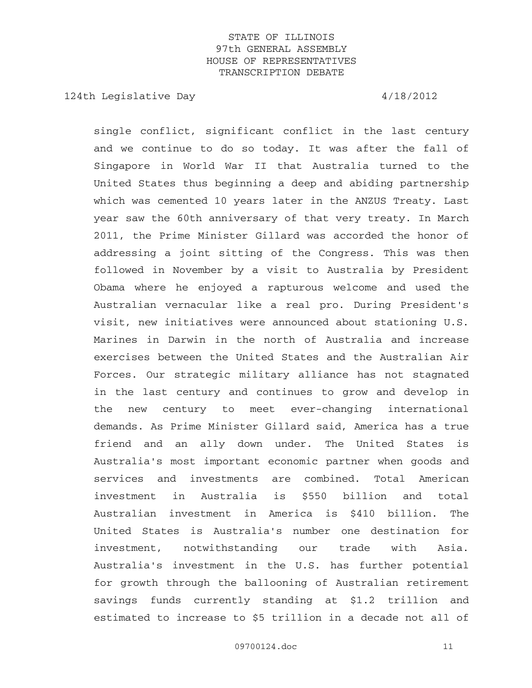124th Legislative Day 4/18/2012

single conflict, significant conflict in the last century and we continue to do so today. It was after the fall of Singapore in World War II that Australia turned to the United States thus beginning a deep and abiding partnership which was cemented 10 years later in the ANZUS Treaty. Last year saw the 60th anniversary of that very treaty. In March 2011, the Prime Minister Gillard was accorded the honor of addressing a joint sitting of the Congress. This was then followed in November by a visit to Australia by President Obama where he enjoyed a rapturous welcome and used the Australian vernacular like a real pro. During President's visit, new initiatives were announced about stationing U.S. Marines in Darwin in the north of Australia and increase exercises between the United States and the Australian Air Forces. Our strategic military alliance has not stagnated in the last century and continues to grow and develop in the new century to meet ever-changing international demands. As Prime Minister Gillard said, America has a true friend and an ally down under. The United States is Australia's most important economic partner when goods and services and investments are combined. Total American investment in Australia is \$550 billion and total Australian investment in America is \$410 billion. The United States is Australia's number one destination for investment, notwithstanding our trade with Asia. Australia's investment in the U.S. has further potential for growth through the ballooning of Australian retirement savings funds currently standing at \$1.2 trillion and estimated to increase to \$5 trillion in a decade not all of

09700124.doc 11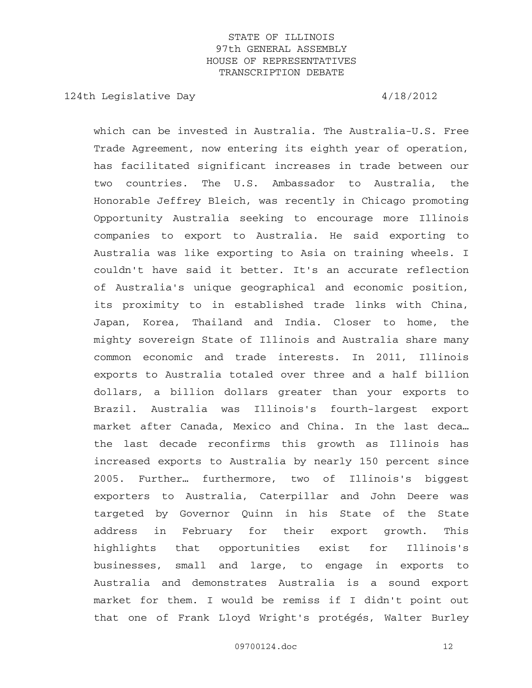124th Legislative Day 4/18/2012

which can be invested in Australia. The Australia-U.S. Free Trade Agreement, now entering its eighth year of operation, has facilitated significant increases in trade between our two countries. The U.S. Ambassador to Australia, the Honorable Jeffrey Bleich, was recently in Chicago promoting Opportunity Australia seeking to encourage more Illinois companies to export to Australia. He said exporting to Australia was like exporting to Asia on training wheels. I couldn't have said it better. It's an accurate reflection of Australia's unique geographical and economic position, its proximity to in established trade links with China, Japan, Korea, Thailand and India. Closer to home, the mighty sovereign State of Illinois and Australia share many common economic and trade interests. In 2011, Illinois exports to Australia totaled over three and a half billion dollars, a billion dollars greater than your exports to Brazil. Australia was Illinois's fourth-largest export market after Canada, Mexico and China. In the last deca… the last decade reconfirms this growth as Illinois has increased exports to Australia by nearly 150 percent since 2005. Further… furthermore, two of Illinois's biggest exporters to Australia, Caterpillar and John Deere was targeted by Governor Quinn in his State of the State address in February for their export growth. This highlights that opportunities exist for Illinois's businesses, small and large, to engage in exports to Australia and demonstrates Australia is a sound export market for them. I would be remiss if I didn't point out that one of Frank Lloyd Wright's protégés, Walter Burley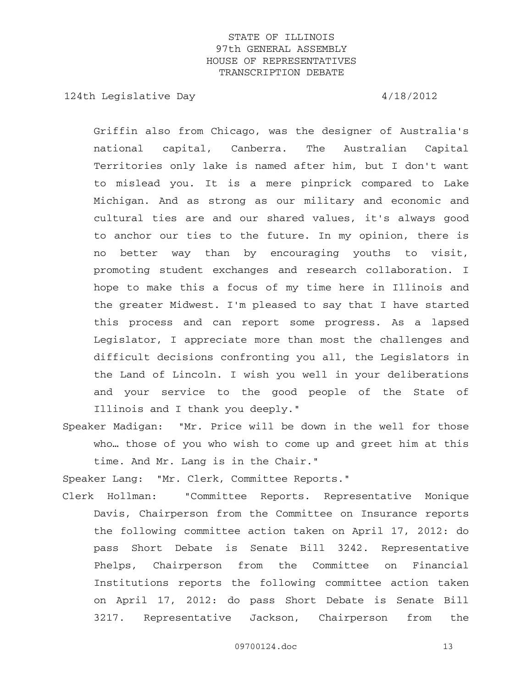124th Legislative Day 4/18/2012

Griffin also from Chicago, was the designer of Australia's national capital, Canberra. The Australian Capital Territories only lake is named after him, but I don't want to mislead you. It is a mere pinprick compared to Lake Michigan. And as strong as our military and economic and cultural ties are and our shared values, it's always good to anchor our ties to the future. In my opinion, there is no better way than by encouraging youths to visit, promoting student exchanges and research collaboration. I hope to make this a focus of my time here in Illinois and the greater Midwest. I'm pleased to say that I have started this process and can report some progress. As a lapsed Legislator, I appreciate more than most the challenges and difficult decisions confronting you all, the Legislators in the Land of Lincoln. I wish you well in your deliberations and your service to the good people of the State of Illinois and I thank you deeply."

Speaker Madigan: "Mr. Price will be down in the well for those who… those of you who wish to come up and greet him at this time. And Mr. Lang is in the Chair."

Speaker Lang: "Mr. Clerk, Committee Reports."

Clerk Hollman: "Committee Reports. Representative Monique Davis, Chairperson from the Committee on Insurance reports the following committee action taken on April 17, 2012: do pass Short Debate is Senate Bill 3242. Representative Phelps, Chairperson from the Committee on Financial Institutions reports the following committee action taken on April 17, 2012: do pass Short Debate is Senate Bill 3217. Representative Jackson, Chairperson from the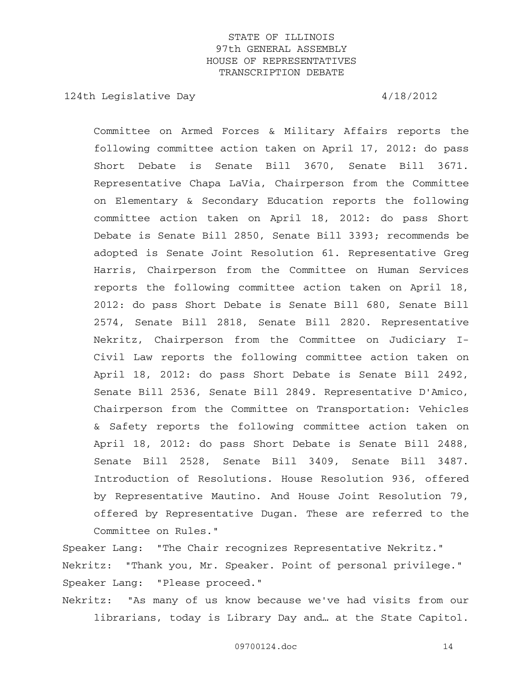124th Legislative Day 4/18/2012

Committee on Armed Forces & Military Affairs reports the following committee action taken on April 17, 2012: do pass Short Debate is Senate Bill 3670, Senate Bill 3671. Representative Chapa LaVia, Chairperson from the Committee on Elementary & Secondary Education reports the following committee action taken on April 18, 2012: do pass Short Debate is Senate Bill 2850, Senate Bill 3393; recommends be adopted is Senate Joint Resolution 61. Representative Greg Harris, Chairperson from the Committee on Human Services reports the following committee action taken on April 18, 2012: do pass Short Debate is Senate Bill 680, Senate Bill 2574, Senate Bill 2818, Senate Bill 2820. Representative Nekritz, Chairperson from the Committee on Judiciary I-Civil Law reports the following committee action taken on April 18, 2012: do pass Short Debate is Senate Bill 2492, Senate Bill 2536, Senate Bill 2849. Representative D'Amico, Chairperson from the Committee on Transportation: Vehicles & Safety reports the following committee action taken on April 18, 2012: do pass Short Debate is Senate Bill 2488, Senate Bill 2528, Senate Bill 3409, Senate Bill 3487. Introduction of Resolutions. House Resolution 936, offered by Representative Mautino. And House Joint Resolution 79, offered by Representative Dugan. These are referred to the Committee on Rules."

Speaker Lang: "The Chair recognizes Representative Nekritz." Nekritz: "Thank you, Mr. Speaker. Point of personal privilege." Speaker Lang: "Please proceed."

Nekritz: "As many of us know because we've had visits from our librarians, today is Library Day and… at the State Capitol.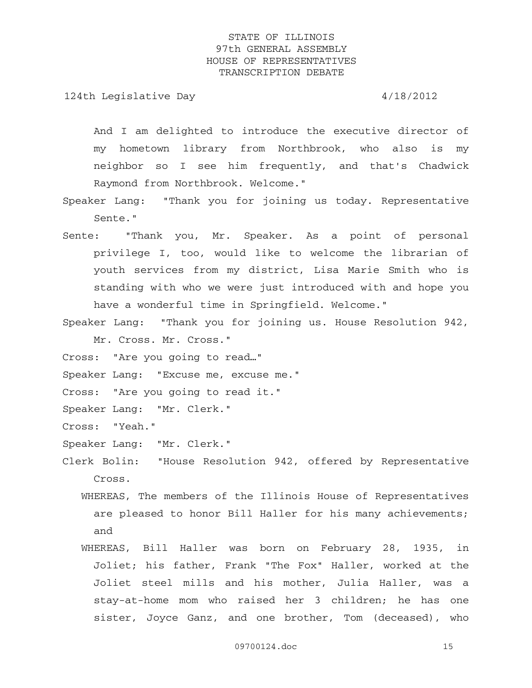124th Legislative Day 4/18/2012

And I am delighted to introduce the executive director of my hometown library from Northbrook, who also is my neighbor so I see him frequently, and that's Chadwick Raymond from Northbrook. Welcome."

- Speaker Lang: "Thank you for joining us today. Representative Sente."
- Sente: "Thank you, Mr. Speaker. As a point of personal privilege I, too, would like to welcome the librarian of youth services from my district, Lisa Marie Smith who is standing with who we were just introduced with and hope you have a wonderful time in Springfield. Welcome."
- Speaker Lang: "Thank you for joining us. House Resolution 942, Mr. Cross. Mr. Cross."
- Cross: "Are you going to read…"
- Speaker Lang: "Excuse me, excuse me."
- Cross: "Are you going to read it."
- Speaker Lang: "Mr. Clerk."
- Cross: "Yeah."
- Speaker Lang: "Mr. Clerk."
- Clerk Bolin: "House Resolution 942, offered by Representative Cross.
	- WHEREAS, The members of the Illinois House of Representatives are pleased to honor Bill Haller for his many achievements; and
	- WHEREAS, Bill Haller was born on February 28, 1935, in Joliet; his father, Frank "The Fox" Haller, worked at the Joliet steel mills and his mother, Julia Haller, was a stay-at-home mom who raised her 3 children; he has one sister, Joyce Ganz, and one brother, Tom (deceased), who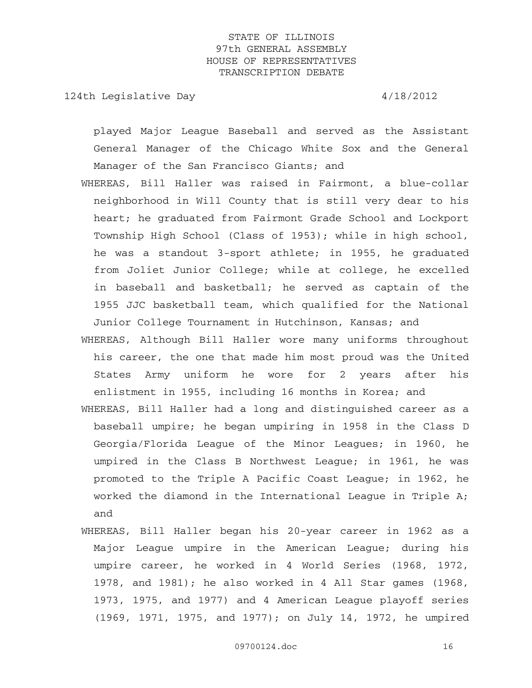124th Legislative Day 4/18/2012

played Major League Baseball and served as the Assistant General Manager of the Chicago White Sox and the General Manager of the San Francisco Giants; and

- WHEREAS, Bill Haller was raised in Fairmont, a blue-collar neighborhood in Will County that is still very dear to his heart; he graduated from Fairmont Grade School and Lockport Township High School (Class of 1953); while in high school, he was a standout 3-sport athlete; in 1955, he graduated from Joliet Junior College; while at college, he excelled in baseball and basketball; he served as captain of the 1955 JJC basketball team, which qualified for the National Junior College Tournament in Hutchinson, Kansas; and
- WHEREAS, Although Bill Haller wore many uniforms throughout his career, the one that made him most proud was the United States Army uniform he wore for 2 years after his enlistment in 1955, including 16 months in Korea; and
- WHEREAS, Bill Haller had a long and distinguished career as a baseball umpire; he began umpiring in 1958 in the Class D Georgia/Florida League of the Minor Leagues; in 1960, he umpired in the Class B Northwest League; in 1961, he was promoted to the Triple A Pacific Coast League; in 1962, he worked the diamond in the International League in Triple A; and
- WHEREAS, Bill Haller began his 20-year career in 1962 as a Major League umpire in the American League; during his umpire career, he worked in 4 World Series (1968, 1972, 1978, and 1981); he also worked in 4 All Star games (1968, 1973, 1975, and 1977) and 4 American League playoff series (1969, 1971, 1975, and 1977); on July 14, 1972, he umpired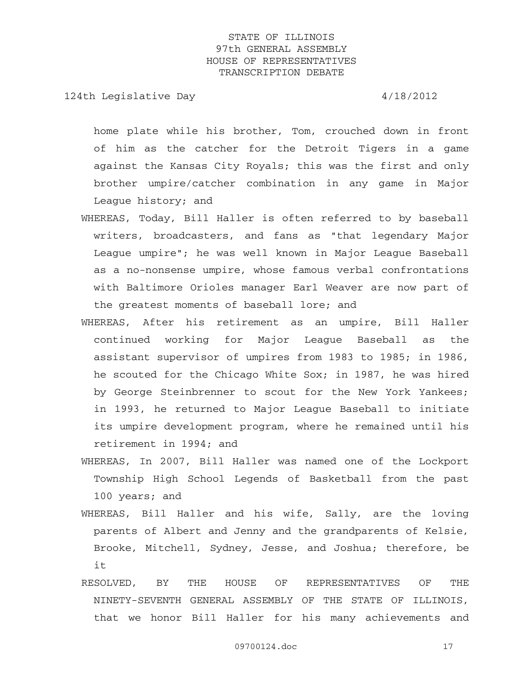124th Legislative Day  $4/18/2012$ 

home plate while his brother, Tom, crouched down in front of him as the catcher for the Detroit Tigers in a game against the Kansas City Royals; this was the first and only brother umpire/catcher combination in any game in Major League history; and

- WHEREAS, Today, Bill Haller is often referred to by baseball writers, broadcasters, and fans as "that legendary Major League umpire"; he was well known in Major League Baseball as a no-nonsense umpire, whose famous verbal confrontations with Baltimore Orioles manager Earl Weaver are now part of the greatest moments of baseball lore; and
- WHEREAS, After his retirement as an umpire, Bill Haller continued working for Major League Baseball as the assistant supervisor of umpires from 1983 to 1985; in 1986, he scouted for the Chicago White Sox; in 1987, he was hired by George Steinbrenner to scout for the New York Yankees; in 1993, he returned to Major League Baseball to initiate its umpire development program, where he remained until his retirement in 1994; and
- WHEREAS, In 2007, Bill Haller was named one of the Lockport Township High School Legends of Basketball from the past 100 years; and
- WHEREAS, Bill Haller and his wife, Sally, are the loving parents of Albert and Jenny and the grandparents of Kelsie, Brooke, Mitchell, Sydney, Jesse, and Joshua; therefore, be it
- RESOLVED, BY THE HOUSE OF REPRESENTATIVES OF THE NINETY-SEVENTH GENERAL ASSEMBLY OF THE STATE OF ILLINOIS, that we honor Bill Haller for his many achievements and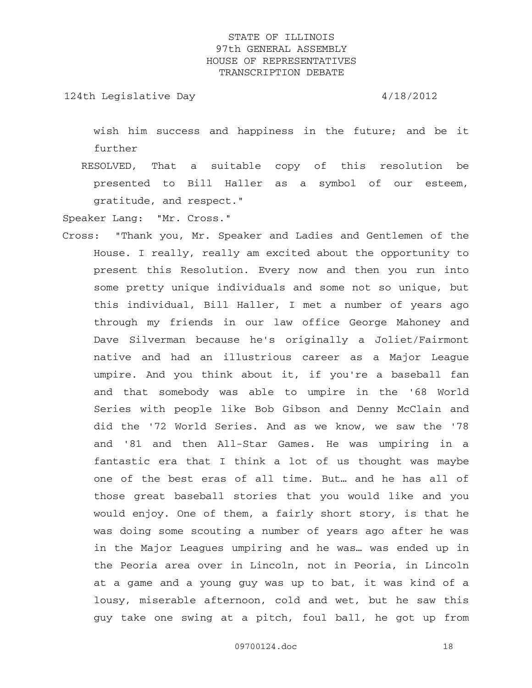124th Legislative Day 4/18/2012

wish him success and happiness in the future; and be it further

 RESOLVED, That a suitable copy of this resolution be presented to Bill Haller as a symbol of our esteem, gratitude, and respect."

Speaker Lang: "Mr. Cross."

Cross: "Thank you, Mr. Speaker and Ladies and Gentlemen of the House. I really, really am excited about the opportunity to present this Resolution. Every now and then you run into some pretty unique individuals and some not so unique, but this individual, Bill Haller, I met a number of years ago through my friends in our law office George Mahoney and Dave Silverman because he's originally a Joliet/Fairmont native and had an illustrious career as a Major League umpire. And you think about it, if you're a baseball fan and that somebody was able to umpire in the '68 World Series with people like Bob Gibson and Denny McClain and did the '72 World Series. And as we know, we saw the '78 and '81 and then All-Star Games. He was umpiring in a fantastic era that I think a lot of us thought was maybe one of the best eras of all time. But… and he has all of those great baseball stories that you would like and you would enjoy. One of them, a fairly short story, is that he was doing some scouting a number of years ago after he was in the Major Leagues umpiring and he was… was ended up in the Peoria area over in Lincoln, not in Peoria, in Lincoln at a game and a young guy was up to bat, it was kind of a lousy, miserable afternoon, cold and wet, but he saw this guy take one swing at a pitch, foul ball, he got up from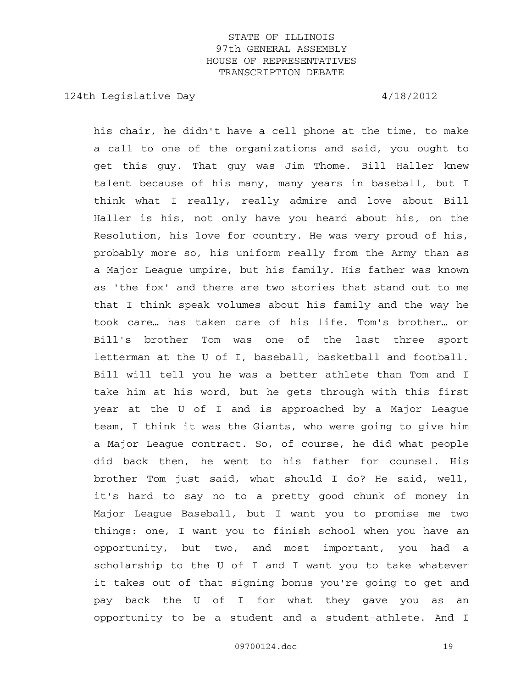124th Legislative Day  $4/18/2012$ 

his chair, he didn't have a cell phone at the time, to make a call to one of the organizations and said, you ought to get this guy. That guy was Jim Thome. Bill Haller knew talent because of his many, many years in baseball, but I think what I really, really admire and love about Bill Haller is his, not only have you heard about his, on the Resolution, his love for country. He was very proud of his, probably more so, his uniform really from the Army than as a Major League umpire, but his family. His father was known as 'the fox' and there are two stories that stand out to me that I think speak volumes about his family and the way he took care… has taken care of his life. Tom's brother… or Bill's brother Tom was one of the last three sport letterman at the U of I, baseball, basketball and football. Bill will tell you he was a better athlete than Tom and I take him at his word, but he gets through with this first year at the U of I and is approached by a Major League team, I think it was the Giants, who were going to give him a Major League contract. So, of course, he did what people did back then, he went to his father for counsel. His brother Tom just said, what should I do? He said, well, it's hard to say no to a pretty good chunk of money in Major League Baseball, but I want you to promise me two things: one, I want you to finish school when you have an opportunity, but two, and most important, you had a scholarship to the U of I and I want you to take whatever it takes out of that signing bonus you're going to get and pay back the U of I for what they gave you as an opportunity to be a student and a student-athlete. And I

09700124.doc 19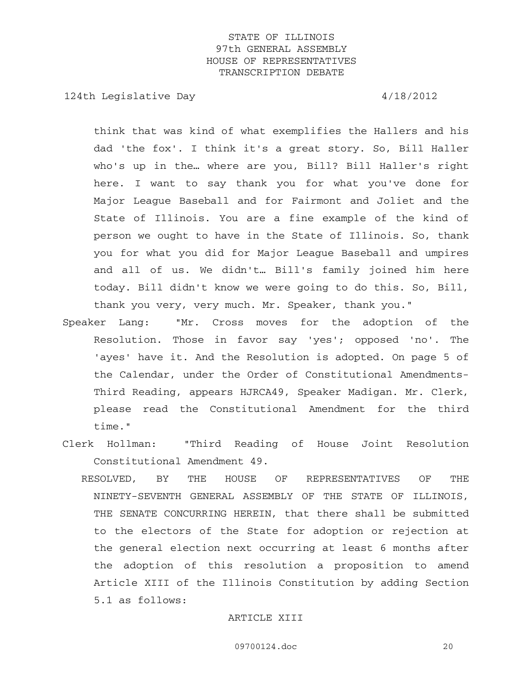124th Legislative Day 4/18/2012

think that was kind of what exemplifies the Hallers and his dad 'the fox'. I think it's a great story. So, Bill Haller who's up in the… where are you, Bill? Bill Haller's right here. I want to say thank you for what you've done for Major League Baseball and for Fairmont and Joliet and the State of Illinois. You are a fine example of the kind of person we ought to have in the State of Illinois. So, thank you for what you did for Major League Baseball and umpires and all of us. We didn't… Bill's family joined him here today. Bill didn't know we were going to do this. So, Bill, thank you very, very much. Mr. Speaker, thank you."

- Speaker Lang: "Mr. Cross moves for the adoption of the Resolution. Those in favor say 'yes'; opposed 'no'. The 'ayes' have it. And the Resolution is adopted. On page 5 of the Calendar, under the Order of Constitutional Amendments-Third Reading, appears HJRCA49, Speaker Madigan. Mr. Clerk, please read the Constitutional Amendment for the third time."
- Clerk Hollman: "Third Reading of House Joint Resolution Constitutional Amendment 49.
	- RESOLVED, BY THE HOUSE OF REPRESENTATIVES OF THE NINETY-SEVENTH GENERAL ASSEMBLY OF THE STATE OF ILLINOIS, THE SENATE CONCURRING HEREIN, that there shall be submitted to the electors of the State for adoption or rejection at the general election next occurring at least 6 months after the adoption of this resolution a proposition to amend Article XIII of the Illinois Constitution by adding Section 5.1 as follows:

#### ARTICLE XIII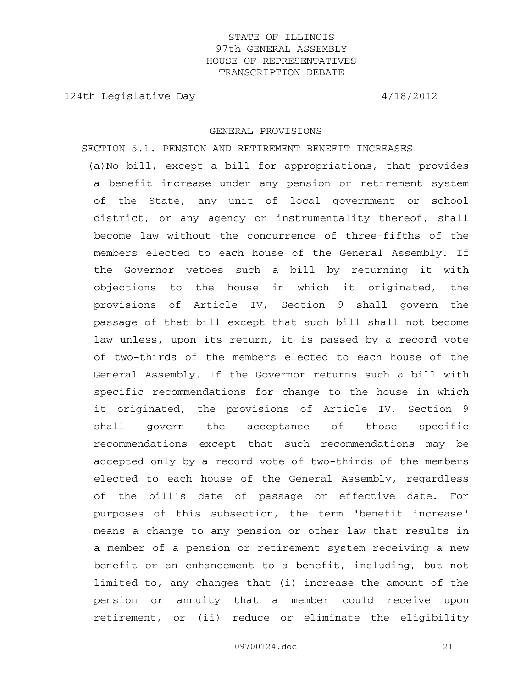124th Legislative Day  $4/18/2012$ 

#### GENERAL PROVISIONS

 SECTION 5.1. PENSION AND RETIREMENT BENEFIT INCREASES (a)No bill, except a bill for appropriations, that provides a benefit increase under any pension or retirement system of the State, any unit of local government or school district, or any agency or instrumentality thereof, shall become law without the concurrence of three-fifths of the members elected to each house of the General Assembly. If the Governor vetoes such a bill by returning it with objections to the house in which it originated, the provisions of Article IV, Section 9 shall govern the passage of that bill except that such bill shall not become law unless, upon its return, it is passed by a record vote of two-thirds of the members elected to each house of the General Assembly. If the Governor returns such a bill with specific recommendations for change to the house in which it originated, the provisions of Article IV, Section 9 shall govern the acceptance of those specific recommendations except that such recommendations may be accepted only by a record vote of two-thirds of the members elected to each house of the General Assembly, regardless of the bill's date of passage or effective date. For purposes of this subsection, the term "benefit increase" means a change to any pension or other law that results in a member of a pension or retirement system receiving a new benefit or an enhancement to a benefit, including, but not limited to, any changes that (i) increase the amount of the pension or annuity that a member could receive upon retirement, or (ii) reduce or eliminate the eligibility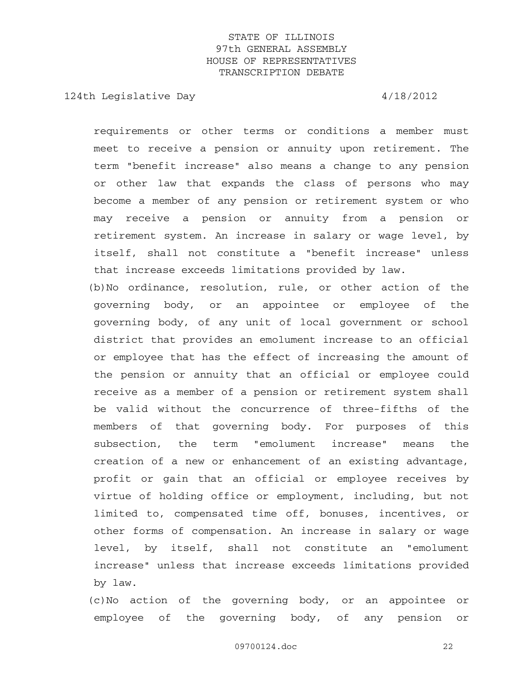124th Legislative Day 4/18/2012

requirements or other terms or conditions a member must meet to receive a pension or annuity upon retirement. The term "benefit increase" also means a change to any pension or other law that expands the class of persons who may become a member of any pension or retirement system or who may receive a pension or annuity from a pension or retirement system. An increase in salary or wage level, by itself, shall not constitute a "benefit increase" unless that increase exceeds limitations provided by law. (b)No ordinance, resolution, rule, or other action of the governing body, or an appointee or employee of the governing body, of any unit of local government or school district that provides an emolument increase to an official or employee that has the effect of increasing the amount of the pension or annuity that an official or employee could receive as a member of a pension or retirement system shall be valid without the concurrence of three-fifths of the members of that governing body. For purposes of this subsection, the term "emolument increase" means the creation of a new or enhancement of an existing advantage, profit or gain that an official or employee receives by virtue of holding office or employment, including, but not limited to, compensated time off, bonuses, incentives, or other forms of compensation. An increase in salary or wage level, by itself, shall not constitute an "emolument increase" unless that increase exceeds limitations provided by law.

 (c)No action of the governing body, or an appointee or employee of the governing body, of any pension or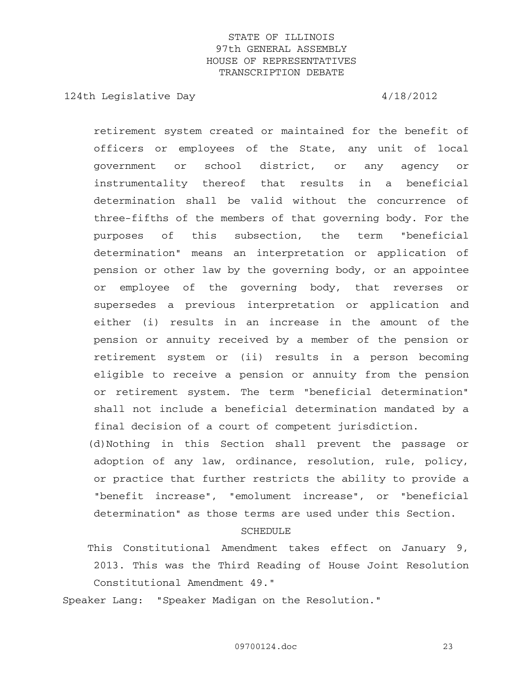124th Legislative Day 4/18/2012

retirement system created or maintained for the benefit of officers or employees of the State, any unit of local government or school district, or any agency or instrumentality thereof that results in a beneficial determination shall be valid without the concurrence of three-fifths of the members of that governing body. For the purposes of this subsection, the term "beneficial determination" means an interpretation or application of pension or other law by the governing body, or an appointee or employee of the governing body, that reverses or supersedes a previous interpretation or application and either (i) results in an increase in the amount of the pension or annuity received by a member of the pension or retirement system or (ii) results in a person becoming eligible to receive a pension or annuity from the pension or retirement system. The term "beneficial determination" shall not include a beneficial determination mandated by a final decision of a court of competent jurisdiction.

 (d)Nothing in this Section shall prevent the passage or adoption of any law, ordinance, resolution, rule, policy, or practice that further restricts the ability to provide a "benefit increase", "emolument increase", or "beneficial determination" as those terms are used under this Section.

#### SCHEDULE

 This Constitutional Amendment takes effect on January 9, 2013. This was the Third Reading of House Joint Resolution Constitutional Amendment 49."

Speaker Lang: "Speaker Madigan on the Resolution."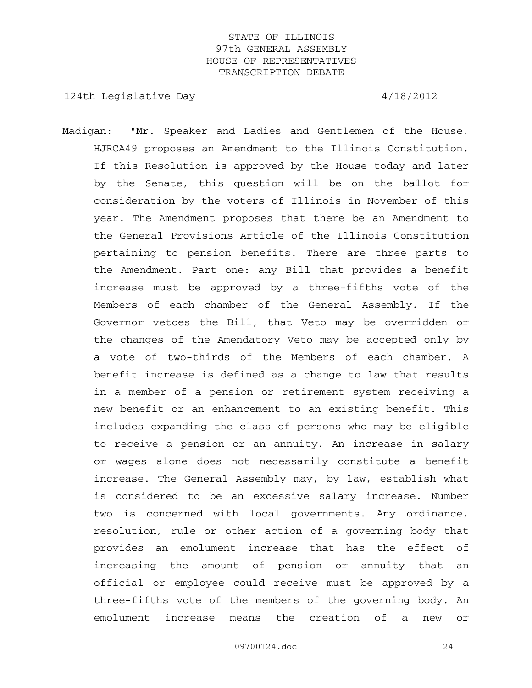124th Legislative Day 4/18/2012

Madigan: "Mr. Speaker and Ladies and Gentlemen of the House, HJRCA49 proposes an Amendment to the Illinois Constitution. If this Resolution is approved by the House today and later by the Senate, this question will be on the ballot for consideration by the voters of Illinois in November of this year. The Amendment proposes that there be an Amendment to the General Provisions Article of the Illinois Constitution pertaining to pension benefits. There are three parts to the Amendment. Part one: any Bill that provides a benefit increase must be approved by a three-fifths vote of the Members of each chamber of the General Assembly. If the Governor vetoes the Bill, that Veto may be overridden or the changes of the Amendatory Veto may be accepted only by a vote of two-thirds of the Members of each chamber. A benefit increase is defined as a change to law that results in a member of a pension or retirement system receiving a new benefit or an enhancement to an existing benefit. This includes expanding the class of persons who may be eligible to receive a pension or an annuity. An increase in salary or wages alone does not necessarily constitute a benefit increase. The General Assembly may, by law, establish what is considered to be an excessive salary increase. Number two is concerned with local governments. Any ordinance, resolution, rule or other action of a governing body that provides an emolument increase that has the effect of increasing the amount of pension or annuity that an official or employee could receive must be approved by a three-fifths vote of the members of the governing body. An emolument increase means the creation of a new or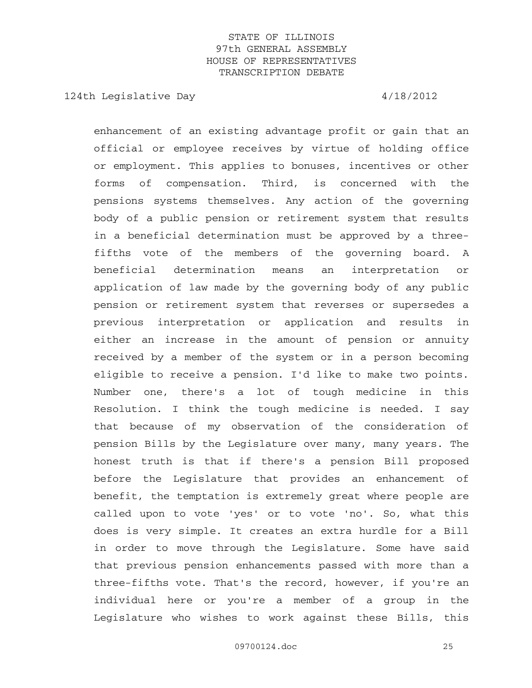124th Legislative Day  $4/18/2012$ 

enhancement of an existing advantage profit or gain that an official or employee receives by virtue of holding office or employment. This applies to bonuses, incentives or other forms of compensation. Third, is concerned with the pensions systems themselves. Any action of the governing body of a public pension or retirement system that results in a beneficial determination must be approved by a threefifths vote of the members of the governing board. A beneficial determination means an interpretation or application of law made by the governing body of any public pension or retirement system that reverses or supersedes a previous interpretation or application and results in either an increase in the amount of pension or annuity received by a member of the system or in a person becoming eligible to receive a pension. I'd like to make two points. Number one, there's a lot of tough medicine in this Resolution. I think the tough medicine is needed. I say that because of my observation of the consideration of pension Bills by the Legislature over many, many years. The honest truth is that if there's a pension Bill proposed before the Legislature that provides an enhancement of benefit, the temptation is extremely great where people are called upon to vote 'yes' or to vote 'no'. So, what this does is very simple. It creates an extra hurdle for a Bill in order to move through the Legislature. Some have said that previous pension enhancements passed with more than a three-fifths vote. That's the record, however, if you're an individual here or you're a member of a group in the Legislature who wishes to work against these Bills, this

09700124.doc 25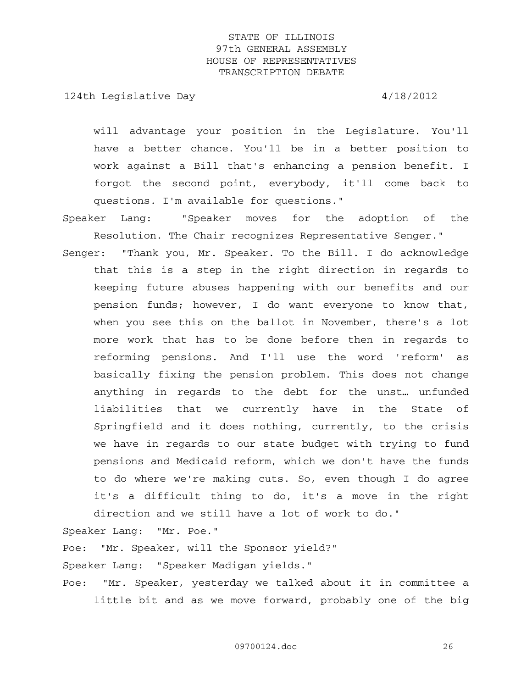124th Legislative Day 4/18/2012

will advantage your position in the Legislature. You'll have a better chance. You'll be in a better position to work against a Bill that's enhancing a pension benefit. I forgot the second point, everybody, it'll come back to questions. I'm available for questions."

- Speaker Lang: "Speaker moves for the adoption of the Resolution. The Chair recognizes Representative Senger."
- Senger: "Thank you, Mr. Speaker. To the Bill. I do acknowledge that this is a step in the right direction in regards to keeping future abuses happening with our benefits and our pension funds; however, I do want everyone to know that, when you see this on the ballot in November, there's a lot more work that has to be done before then in regards to reforming pensions. And I'll use the word 'reform' as basically fixing the pension problem. This does not change anything in regards to the debt for the unst… unfunded liabilities that we currently have in the State of Springfield and it does nothing, currently, to the crisis we have in regards to our state budget with trying to fund pensions and Medicaid reform, which we don't have the funds to do where we're making cuts. So, even though I do agree it's a difficult thing to do, it's a move in the right direction and we still have a lot of work to do."

Speaker Lang: "Mr. Poe."

Poe: "Mr. Speaker, will the Sponsor yield?"

Speaker Lang: "Speaker Madigan yields."

Poe: "Mr. Speaker, yesterday we talked about it in committee a little bit and as we move forward, probably one of the big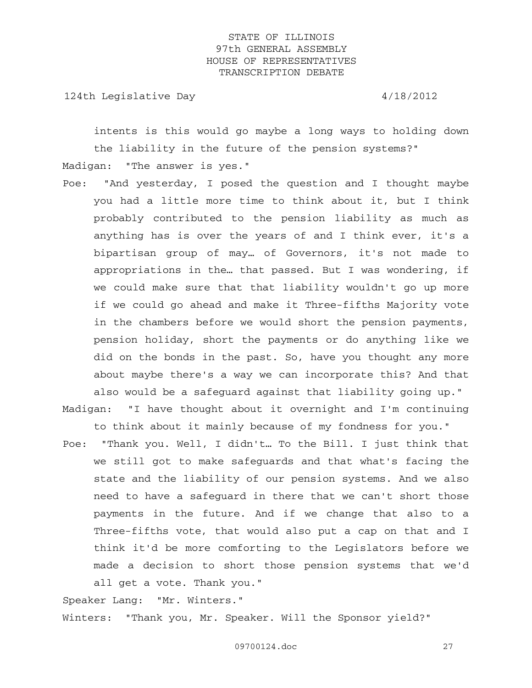124th Legislative Day  $4/18/2012$ 

intents is this would go maybe a long ways to holding down the liability in the future of the pension systems?"

Madigan: "The answer is yes."

Poe: "And yesterday, I posed the question and I thought maybe you had a little more time to think about it, but I think probably contributed to the pension liability as much as anything has is over the years of and I think ever, it's a bipartisan group of may… of Governors, it's not made to appropriations in the… that passed. But I was wondering, if we could make sure that that liability wouldn't go up more if we could go ahead and make it Three-fifths Majority vote in the chambers before we would short the pension payments, pension holiday, short the payments or do anything like we did on the bonds in the past. So, have you thought any more about maybe there's a way we can incorporate this? And that also would be a safeguard against that liability going up."

Madigan: "I have thought about it overnight and I'm continuing to think about it mainly because of my fondness for you."

Poe: "Thank you. Well, I didn't… To the Bill. I just think that we still got to make safeguards and that what's facing the state and the liability of our pension systems. And we also need to have a safeguard in there that we can't short those payments in the future. And if we change that also to a Three-fifths vote, that would also put a cap on that and I think it'd be more comforting to the Legislators before we made a decision to short those pension systems that we'd all get a vote. Thank you."

Speaker Lang: "Mr. Winters." Winters: "Thank you, Mr. Speaker. Will the Sponsor yield?"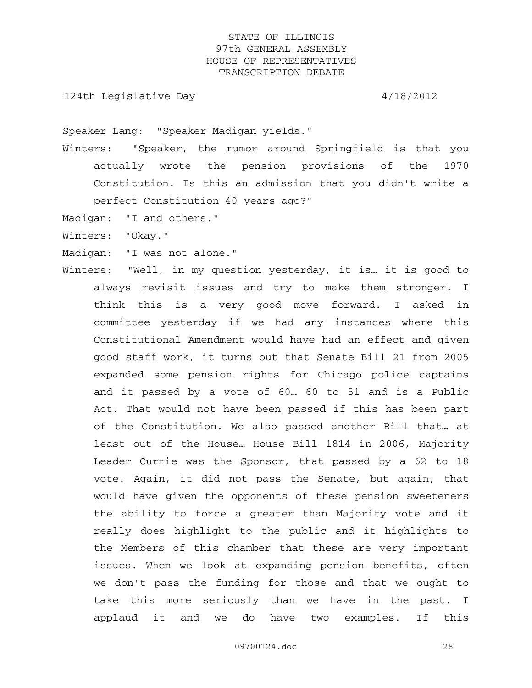124th Legislative Day 4/18/2012

Speaker Lang: "Speaker Madigan yields."

- Winters: "Speaker, the rumor around Springfield is that you actually wrote the pension provisions of the 1970 Constitution. Is this an admission that you didn't write a perfect Constitution 40 years ago?"
- Madigan: "I and others."
- Winters: "Okay."
- Madigan: "I was not alone."
- Winters: "Well, in my question yesterday, it is… it is good to always revisit issues and try to make them stronger. I think this is a very good move forward. I asked in committee yesterday if we had any instances where this Constitutional Amendment would have had an effect and given good staff work, it turns out that Senate Bill 21 from 2005 expanded some pension rights for Chicago police captains and it passed by a vote of 60… 60 to 51 and is a Public Act. That would not have been passed if this has been part of the Constitution. We also passed another Bill that… at least out of the House… House Bill 1814 in 2006, Majority Leader Currie was the Sponsor, that passed by a 62 to 18 vote. Again, it did not pass the Senate, but again, that would have given the opponents of these pension sweeteners the ability to force a greater than Majority vote and it really does highlight to the public and it highlights to the Members of this chamber that these are very important issues. When we look at expanding pension benefits, often we don't pass the funding for those and that we ought to take this more seriously than we have in the past. I applaud it and we do have two examples. If this

09700124.doc 28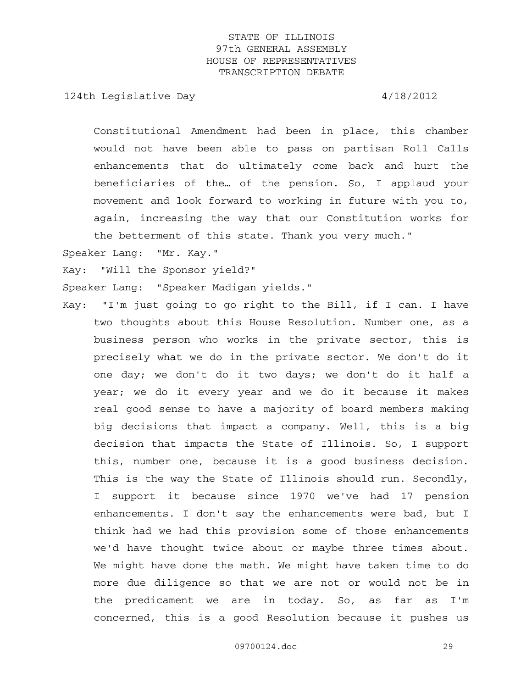124th Legislative Day 4/18/2012

Constitutional Amendment had been in place, this chamber would not have been able to pass on partisan Roll Calls enhancements that do ultimately come back and hurt the beneficiaries of the… of the pension. So, I applaud your movement and look forward to working in future with you to, again, increasing the way that our Constitution works for the betterment of this state. Thank you very much."

Speaker Lang: "Mr. Kay."

Kay: "Will the Sponsor yield?"

Speaker Lang: "Speaker Madigan yields."

Kay: "I'm just going to go right to the Bill, if I can. I have two thoughts about this House Resolution. Number one, as a business person who works in the private sector, this is precisely what we do in the private sector. We don't do it one day; we don't do it two days; we don't do it half a year; we do it every year and we do it because it makes real good sense to have a majority of board members making big decisions that impact a company. Well, this is a big decision that impacts the State of Illinois. So, I support this, number one, because it is a good business decision. This is the way the State of Illinois should run. Secondly, I support it because since 1970 we've had 17 pension enhancements. I don't say the enhancements were bad, but I think had we had this provision some of those enhancements we'd have thought twice about or maybe three times about. We might have done the math. We might have taken time to do more due diligence so that we are not or would not be in the predicament we are in today. So, as far as I'm concerned, this is a good Resolution because it pushes us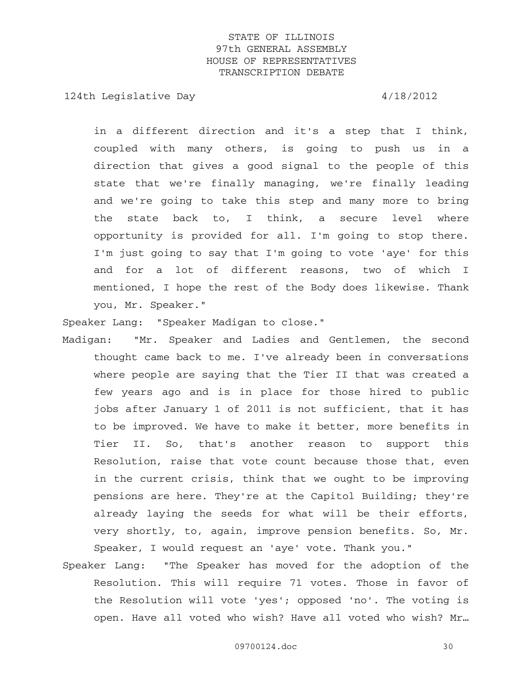124th Legislative Day 4/18/2012

in a different direction and it's a step that I think, coupled with many others, is going to push us in a direction that gives a good signal to the people of this state that we're finally managing, we're finally leading and we're going to take this step and many more to bring the state back to, I think, a secure level where opportunity is provided for all. I'm going to stop there. I'm just going to say that I'm going to vote 'aye' for this and for a lot of different reasons, two of which I mentioned, I hope the rest of the Body does likewise. Thank you, Mr. Speaker."

Speaker Lang: "Speaker Madigan to close."

- Madigan: "Mr. Speaker and Ladies and Gentlemen, the second thought came back to me. I've already been in conversations where people are saying that the Tier II that was created a few years ago and is in place for those hired to public jobs after January 1 of 2011 is not sufficient, that it has to be improved. We have to make it better, more benefits in Tier II. So, that's another reason to support this Resolution, raise that vote count because those that, even in the current crisis, think that we ought to be improving pensions are here. They're at the Capitol Building; they're already laying the seeds for what will be their efforts, very shortly, to, again, improve pension benefits. So, Mr. Speaker, I would request an 'aye' vote. Thank you."
- Speaker Lang: "The Speaker has moved for the adoption of the Resolution. This will require 71 votes. Those in favor of the Resolution will vote 'yes'; opposed 'no'. The voting is open. Have all voted who wish? Have all voted who wish? Mr…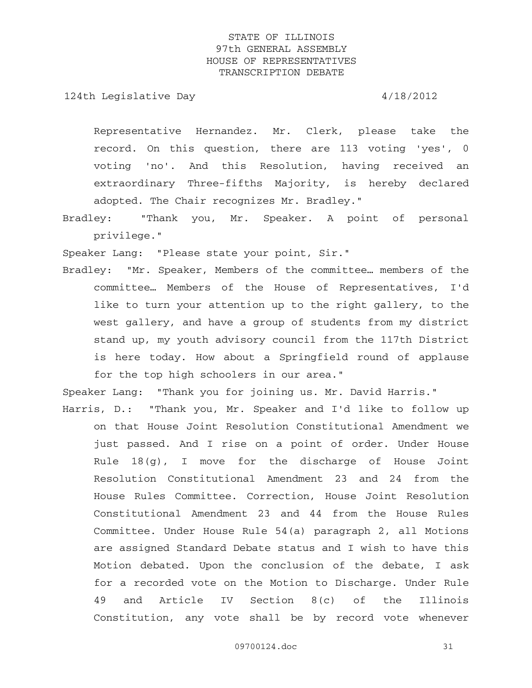124th Legislative Day 4/18/2012

Representative Hernandez. Mr. Clerk, please take the record. On this question, there are 113 voting 'yes', 0 voting 'no'. And this Resolution, having received an extraordinary Three-fifths Majority, is hereby declared adopted. The Chair recognizes Mr. Bradley."

Bradley: "Thank you, Mr. Speaker. A point of personal privilege."

Speaker Lang: "Please state your point, Sir."

Bradley: "Mr. Speaker, Members of the committee… members of the committee… Members of the House of Representatives, I'd like to turn your attention up to the right gallery, to the west gallery, and have a group of students from my district stand up, my youth advisory council from the 117th District is here today. How about a Springfield round of applause for the top high schoolers in our area."

Speaker Lang: "Thank you for joining us. Mr. David Harris."

Harris, D.: "Thank you, Mr. Speaker and I'd like to follow up on that House Joint Resolution Constitutional Amendment we just passed. And I rise on a point of order. Under House Rule  $18(g)$ , I move for the discharge of House Joint Resolution Constitutional Amendment 23 and 24 from the House Rules Committee. Correction, House Joint Resolution Constitutional Amendment 23 and 44 from the House Rules Committee. Under House Rule 54(a) paragraph 2, all Motions are assigned Standard Debate status and I wish to have this Motion debated. Upon the conclusion of the debate, I ask for a recorded vote on the Motion to Discharge. Under Rule 49 and Article IV Section 8(c) of the Illinois Constitution, any vote shall be by record vote whenever

09700124.doc 31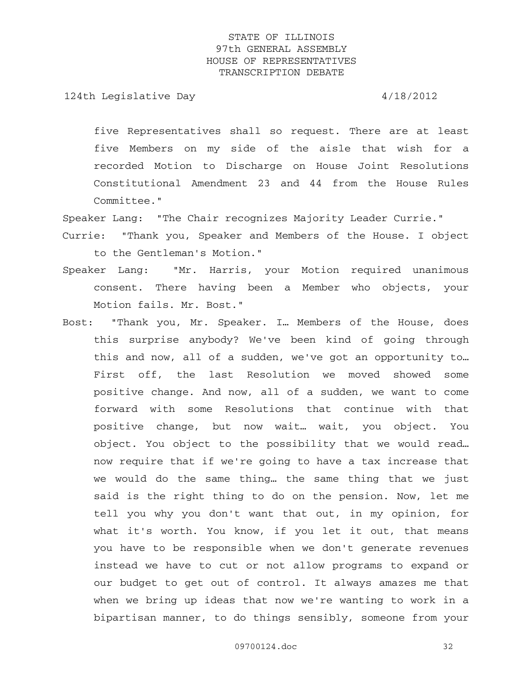124th Legislative Day 4/18/2012

five Representatives shall so request. There are at least five Members on my side of the aisle that wish for a recorded Motion to Discharge on House Joint Resolutions Constitutional Amendment 23 and 44 from the House Rules Committee."

Speaker Lang: "The Chair recognizes Majority Leader Currie."

- Currie: "Thank you, Speaker and Members of the House. I object to the Gentleman's Motion."
- Speaker Lang: "Mr. Harris, your Motion required unanimous consent. There having been a Member who objects, your Motion fails. Mr. Bost."
- Bost: "Thank you, Mr. Speaker. I… Members of the House, does this surprise anybody? We've been kind of going through this and now, all of a sudden, we've got an opportunity to… First off, the last Resolution we moved showed some positive change. And now, all of a sudden, we want to come forward with some Resolutions that continue with that positive change, but now wait… wait, you object. You object. You object to the possibility that we would read… now require that if we're going to have a tax increase that we would do the same thing… the same thing that we just said is the right thing to do on the pension. Now, let me tell you why you don't want that out, in my opinion, for what it's worth. You know, if you let it out, that means you have to be responsible when we don't generate revenues instead we have to cut or not allow programs to expand or our budget to get out of control. It always amazes me that when we bring up ideas that now we're wanting to work in a bipartisan manner, to do things sensibly, someone from your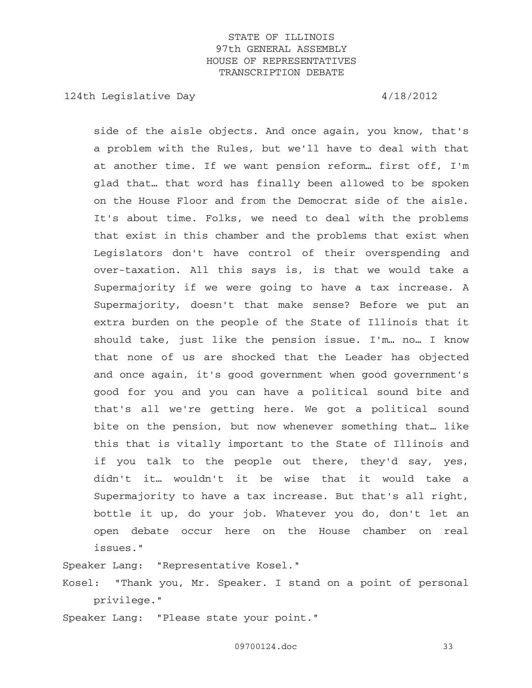124th Legislative Day 4/18/2012

side of the aisle objects. And once again, you know, that's a problem with the Rules, but we'll have to deal with that at another time. If we want pension reform… first off, I'm glad that… that word has finally been allowed to be spoken on the House Floor and from the Democrat side of the aisle. It's about time. Folks, we need to deal with the problems that exist in this chamber and the problems that exist when Legislators don't have control of their overspending and over-taxation. All this says is, is that we would take a Supermajority if we were going to have a tax increase. A Supermajority, doesn't that make sense? Before we put an extra burden on the people of the State of Illinois that it should take, just like the pension issue. I'm… no… I know that none of us are shocked that the Leader has objected and once again, it's good government when good government's good for you and you can have a political sound bite and that's all we're getting here. We got a political sound bite on the pension, but now whenever something that… like this that is vitally important to the State of Illinois and if you talk to the people out there, they'd say, yes, didn't it… wouldn't it be wise that it would take a Supermajority to have a tax increase. But that's all right, bottle it up, do your job. Whatever you do, don't let an open debate occur here on the House chamber on real issues."

Speaker Lang: "Representative Kosel."

Kosel: "Thank you, Mr. Speaker. I stand on a point of personal privilege."

Speaker Lang: "Please state your point."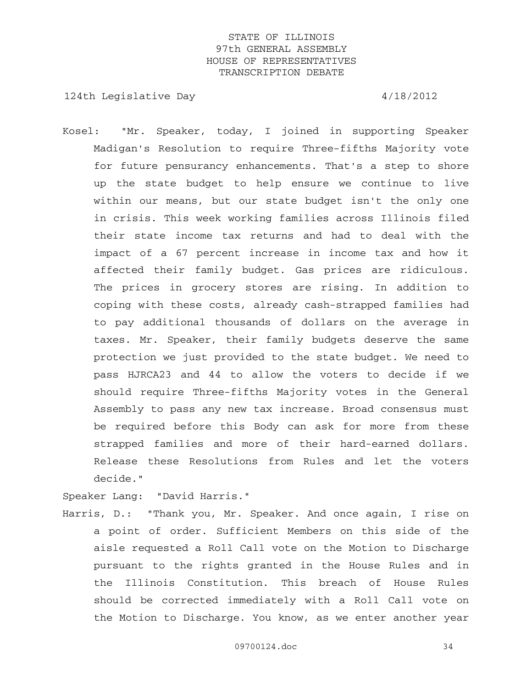124th Legislative Day 4/18/2012

Kosel: "Mr. Speaker, today, I joined in supporting Speaker Madigan's Resolution to require Three-fifths Majority vote for future pensurancy enhancements. That's a step to shore up the state budget to help ensure we continue to live within our means, but our state budget isn't the only one in crisis. This week working families across Illinois filed their state income tax returns and had to deal with the impact of a 67 percent increase in income tax and how it affected their family budget. Gas prices are ridiculous. The prices in grocery stores are rising. In addition to coping with these costs, already cash-strapped families had to pay additional thousands of dollars on the average in taxes. Mr. Speaker, their family budgets deserve the same protection we just provided to the state budget. We need to pass HJRCA23 and 44 to allow the voters to decide if we should require Three-fifths Majority votes in the General Assembly to pass any new tax increase. Broad consensus must be required before this Body can ask for more from these strapped families and more of their hard-earned dollars. Release these Resolutions from Rules and let the voters decide."

Speaker Lang: "David Harris."

Harris, D.: "Thank you, Mr. Speaker. And once again, I rise on a point of order. Sufficient Members on this side of the aisle requested a Roll Call vote on the Motion to Discharge pursuant to the rights granted in the House Rules and in the Illinois Constitution. This breach of House Rules should be corrected immediately with a Roll Call vote on the Motion to Discharge. You know, as we enter another year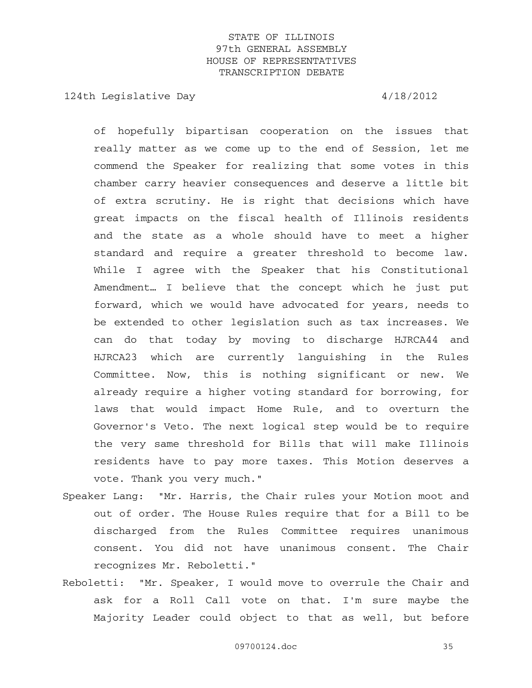124th Legislative Day  $4/18/2012$ 

of hopefully bipartisan cooperation on the issues that really matter as we come up to the end of Session, let me commend the Speaker for realizing that some votes in this chamber carry heavier consequences and deserve a little bit of extra scrutiny. He is right that decisions which have great impacts on the fiscal health of Illinois residents and the state as a whole should have to meet a higher standard and require a greater threshold to become law. While I agree with the Speaker that his Constitutional Amendment… I believe that the concept which he just put forward, which we would have advocated for years, needs to be extended to other legislation such as tax increases. We can do that today by moving to discharge HJRCA44 and HJRCA23 which are currently languishing in the Rules Committee. Now, this is nothing significant or new. We already require a higher voting standard for borrowing, for laws that would impact Home Rule, and to overturn the Governor's Veto. The next logical step would be to require the very same threshold for Bills that will make Illinois residents have to pay more taxes. This Motion deserves a vote. Thank you very much."

- Speaker Lang: "Mr. Harris, the Chair rules your Motion moot and out of order. The House Rules require that for a Bill to be discharged from the Rules Committee requires unanimous consent. You did not have unanimous consent. The Chair recognizes Mr. Reboletti."
- Reboletti: "Mr. Speaker, I would move to overrule the Chair and ask for a Roll Call vote on that. I'm sure maybe the Majority Leader could object to that as well, but before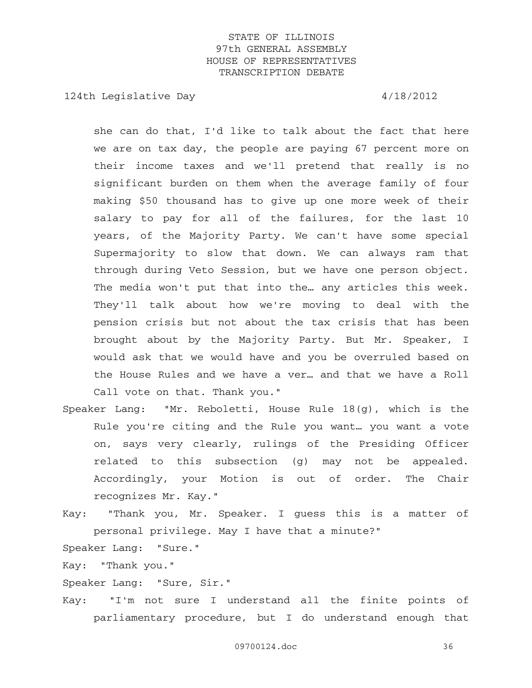124th Legislative Day  $4/18/2012$ 

she can do that, I'd like to talk about the fact that here we are on tax day, the people are paying 67 percent more on their income taxes and we'll pretend that really is no significant burden on them when the average family of four making \$50 thousand has to give up one more week of their salary to pay for all of the failures, for the last 10 years, of the Majority Party. We can't have some special Supermajority to slow that down. We can always ram that through during Veto Session, but we have one person object. The media won't put that into the… any articles this week. They'll talk about how we're moving to deal with the pension crisis but not about the tax crisis that has been brought about by the Majority Party. But Mr. Speaker, I would ask that we would have and you be overruled based on the House Rules and we have a ver… and that we have a Roll Call vote on that. Thank you."

- Speaker Lang: "Mr. Reboletti, House Rule 18(g), which is the Rule you're citing and the Rule you want… you want a vote on, says very clearly, rulings of the Presiding Officer related to this subsection (g) may not be appealed. Accordingly, your Motion is out of order. The Chair recognizes Mr. Kay."
- Kay: "Thank you, Mr. Speaker. I guess this is a matter of personal privilege. May I have that a minute?"

Speaker Lang: "Sure."

Kay: "Thank you."

Speaker Lang: "Sure, Sir."

Kay: "I'm not sure I understand all the finite points of parliamentary procedure, but I do understand enough that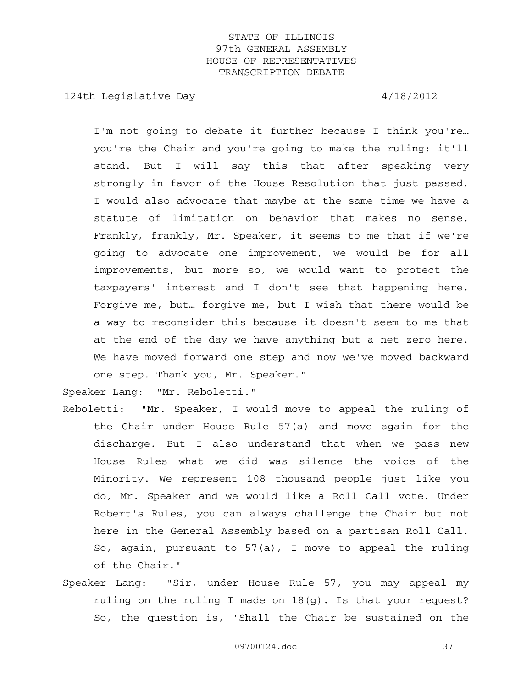124th Legislative Day 4/18/2012

I'm not going to debate it further because I think you're… you're the Chair and you're going to make the ruling; it'll stand. But I will say this that after speaking very strongly in favor of the House Resolution that just passed, I would also advocate that maybe at the same time we have a statute of limitation on behavior that makes no sense. Frankly, frankly, Mr. Speaker, it seems to me that if we're going to advocate one improvement, we would be for all improvements, but more so, we would want to protect the taxpayers' interest and I don't see that happening here. Forgive me, but… forgive me, but I wish that there would be a way to reconsider this because it doesn't seem to me that at the end of the day we have anything but a net zero here. We have moved forward one step and now we've moved backward one step. Thank you, Mr. Speaker."

Speaker Lang: "Mr. Reboletti."

- Reboletti: "Mr. Speaker, I would move to appeal the ruling of the Chair under House Rule 57(a) and move again for the discharge. But I also understand that when we pass new House Rules what we did was silence the voice of the Minority. We represent 108 thousand people just like you do, Mr. Speaker and we would like a Roll Call vote. Under Robert's Rules, you can always challenge the Chair but not here in the General Assembly based on a partisan Roll Call. So, again, pursuant to 57(a), I move to appeal the ruling of the Chair."
- Speaker Lang: "Sir, under House Rule 57, you may appeal my ruling on the ruling I made on 18(g). Is that your request? So, the question is, 'Shall the Chair be sustained on the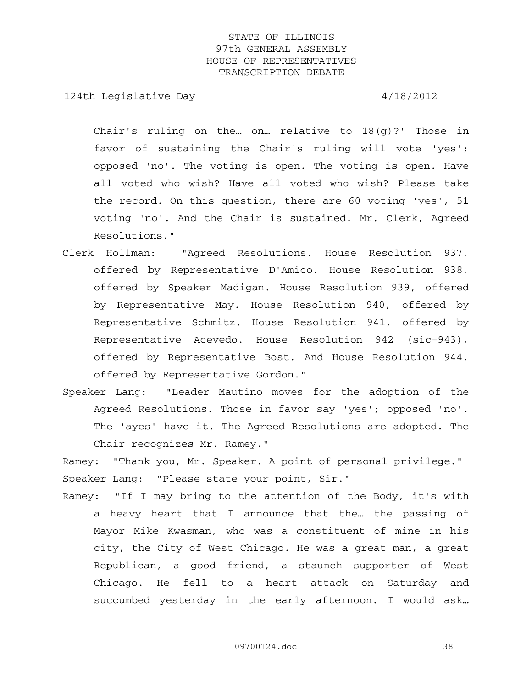124th Legislative Day  $4/18/2012$ 

Chair's ruling on the... on... relative to  $18(g)$ ?' Those in favor of sustaining the Chair's ruling will vote 'yes'; opposed 'no'. The voting is open. The voting is open. Have all voted who wish? Have all voted who wish? Please take the record. On this question, there are 60 voting 'yes', 51 voting 'no'. And the Chair is sustained. Mr. Clerk, Agreed Resolutions."

- Clerk Hollman: "Agreed Resolutions. House Resolution 937, offered by Representative D'Amico. House Resolution 938, offered by Speaker Madigan. House Resolution 939, offered by Representative May. House Resolution 940, offered by Representative Schmitz. House Resolution 941, offered by Representative Acevedo. House Resolution 942 (sic-943), offered by Representative Bost. And House Resolution 944, offered by Representative Gordon."
- Speaker Lang: "Leader Mautino moves for the adoption of the Agreed Resolutions. Those in favor say 'yes'; opposed 'no'. The 'ayes' have it. The Agreed Resolutions are adopted. The Chair recognizes Mr. Ramey."

Ramey: "Thank you, Mr. Speaker. A point of personal privilege." Speaker Lang: "Please state your point, Sir."

Ramey: "If I may bring to the attention of the Body, it's with a heavy heart that I announce that the… the passing of Mayor Mike Kwasman, who was a constituent of mine in his city, the City of West Chicago. He was a great man, a great Republican, a good friend, a staunch supporter of West Chicago. He fell to a heart attack on Saturday and succumbed yesterday in the early afternoon. I would ask…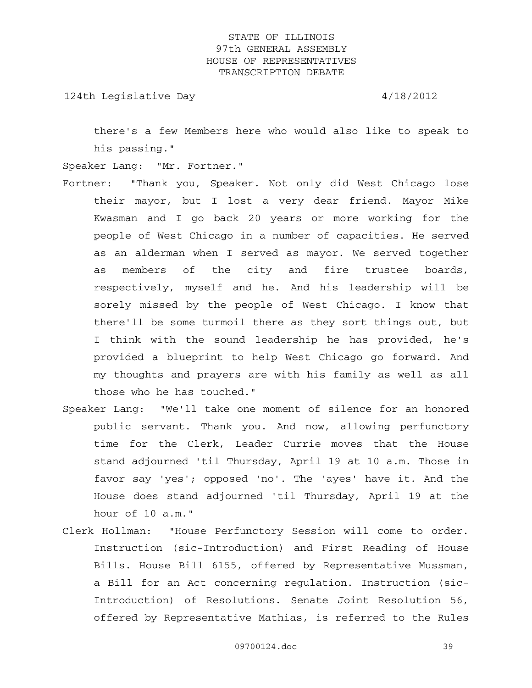124th Legislative Day 4/18/2012

there's a few Members here who would also like to speak to his passing."

Speaker Lang: "Mr. Fortner."

- Fortner: "Thank you, Speaker. Not only did West Chicago lose their mayor, but I lost a very dear friend. Mayor Mike Kwasman and I go back 20 years or more working for the people of West Chicago in a number of capacities. He served as an alderman when I served as mayor. We served together as members of the city and fire trustee boards, respectively, myself and he. And his leadership will be sorely missed by the people of West Chicago. I know that there'll be some turmoil there as they sort things out, but I think with the sound leadership he has provided, he's provided a blueprint to help West Chicago go forward. And my thoughts and prayers are with his family as well as all those who he has touched."
- Speaker Lang: "We'll take one moment of silence for an honored public servant. Thank you. And now, allowing perfunctory time for the Clerk, Leader Currie moves that the House stand adjourned 'til Thursday, April 19 at 10 a.m. Those in favor say 'yes'; opposed 'no'. The 'ayes' have it. And the House does stand adjourned 'til Thursday, April 19 at the hour of 10 a.m."
- Clerk Hollman: "House Perfunctory Session will come to order. Instruction (sic-Introduction) and First Reading of House Bills. House Bill 6155, offered by Representative Mussman, a Bill for an Act concerning regulation. Instruction (sic-Introduction) of Resolutions. Senate Joint Resolution 56, offered by Representative Mathias, is referred to the Rules